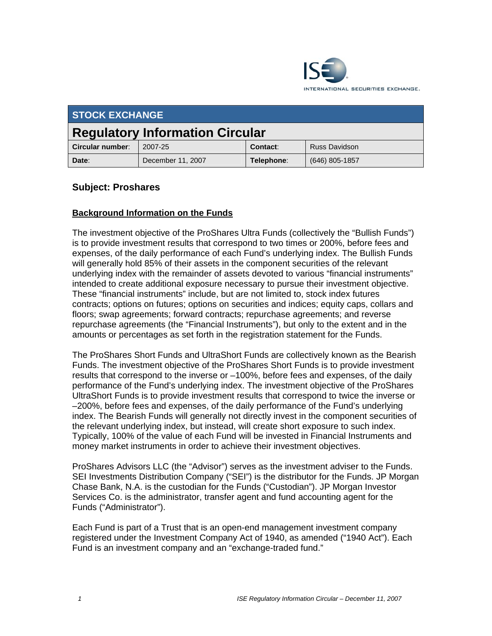

| <b>STOCK EXCHANGE</b>                  |                   |            |                  |  |  |
|----------------------------------------|-------------------|------------|------------------|--|--|
| <b>Regulatory Information Circular</b> |                   |            |                  |  |  |
| Circular number:                       | 2007-25           | Contact:   | Russ Davidson    |  |  |
| Date:                                  | December 11, 2007 | Telephone: | $(646)$ 805-1857 |  |  |

# **Subject: Proshares**

## **Background Information on the Funds**

The investment objective of the ProShares Ultra Funds (collectively the "Bullish Funds") is to provide investment results that correspond to two times or 200%, before fees and expenses, of the daily performance of each Fund's underlying index. The Bullish Funds will generally hold 85% of their assets in the component securities of the relevant underlying index with the remainder of assets devoted to various "financial instruments" intended to create additional exposure necessary to pursue their investment objective. These "financial instruments" include, but are not limited to, stock index futures contracts; options on futures; options on securities and indices; equity caps, collars and floors; swap agreements; forward contracts; repurchase agreements; and reverse repurchase agreements (the "Financial Instruments"), but only to the extent and in the amounts or percentages as set forth in the registration statement for the Funds.

The ProShares Short Funds and UltraShort Funds are collectively known as the Bearish Funds. The investment objective of the ProShares Short Funds is to provide investment results that correspond to the inverse or –100%, before fees and expenses, of the daily performance of the Fund's underlying index. The investment objective of the ProShares UltraShort Funds is to provide investment results that correspond to twice the inverse or –200%, before fees and expenses, of the daily performance of the Fund's underlying index. The Bearish Funds will generally not directly invest in the component securities of the relevant underlying index, but instead, will create short exposure to such index. Typically, 100% of the value of each Fund will be invested in Financial Instruments and money market instruments in order to achieve their investment objectives.

ProShares Advisors LLC (the "Advisor") serves as the investment adviser to the Funds. SEI Investments Distribution Company ("SEI") is the distributor for the Funds. JP Morgan Chase Bank, N.A. is the custodian for the Funds ("Custodian"). JP Morgan Investor Services Co. is the administrator, transfer agent and fund accounting agent for the Funds ("Administrator").

Each Fund is part of a Trust that is an open-end management investment company registered under the Investment Company Act of 1940, as amended ("1940 Act"). Each Fund is an investment company and an "exchange-traded fund."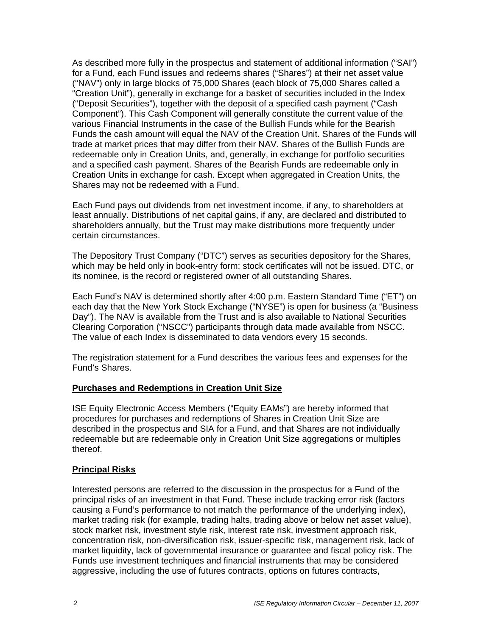As described more fully in the prospectus and statement of additional information ("SAI") for a Fund, each Fund issues and redeems shares ("Shares") at their net asset value ("NAV") only in large blocks of 75,000 Shares (each block of 75,000 Shares called a "Creation Unit"), generally in exchange for a basket of securities included in the Index ("Deposit Securities"), together with the deposit of a specified cash payment ("Cash Component"). This Cash Component will generally constitute the current value of the various Financial Instruments in the case of the Bullish Funds while for the Bearish Funds the cash amount will equal the NAV of the Creation Unit. Shares of the Funds will trade at market prices that may differ from their NAV. Shares of the Bullish Funds are redeemable only in Creation Units, and, generally, in exchange for portfolio securities and a specified cash payment. Shares of the Bearish Funds are redeemable only in Creation Units in exchange for cash. Except when aggregated in Creation Units, the Shares may not be redeemed with a Fund.

Each Fund pays out dividends from net investment income, if any, to shareholders at least annually. Distributions of net capital gains, if any, are declared and distributed to shareholders annually, but the Trust may make distributions more frequently under certain circumstances.

The Depository Trust Company ("DTC") serves as securities depository for the Shares, which may be held only in book-entry form; stock certificates will not be issued. DTC, or its nominee, is the record or registered owner of all outstanding Shares.

Each Fund's NAV is determined shortly after 4:00 p.m. Eastern Standard Time ("ET") on each day that the New York Stock Exchange ("NYSE") is open for business (a "Business Day"). The NAV is available from the Trust and is also available to National Securities Clearing Corporation ("NSCC") participants through data made available from NSCC. The value of each Index is disseminated to data vendors every 15 seconds.

The registration statement for a Fund describes the various fees and expenses for the Fund's Shares.

### **Purchases and Redemptions in Creation Unit Size**

ISE Equity Electronic Access Members ("Equity EAMs") are hereby informed that procedures for purchases and redemptions of Shares in Creation Unit Size are described in the prospectus and SIA for a Fund, and that Shares are not individually redeemable but are redeemable only in Creation Unit Size aggregations or multiples thereof.

### **Principal Risks**

Interested persons are referred to the discussion in the prospectus for a Fund of the principal risks of an investment in that Fund. These include tracking error risk (factors causing a Fund's performance to not match the performance of the underlying index), market trading risk (for example, trading halts, trading above or below net asset value), stock market risk, investment style risk, interest rate risk, investment approach risk, concentration risk, non-diversification risk, issuer-specific risk, management risk, lack of market liquidity, lack of governmental insurance or guarantee and fiscal policy risk. The Funds use investment techniques and financial instruments that may be considered aggressive, including the use of futures contracts, options on futures contracts,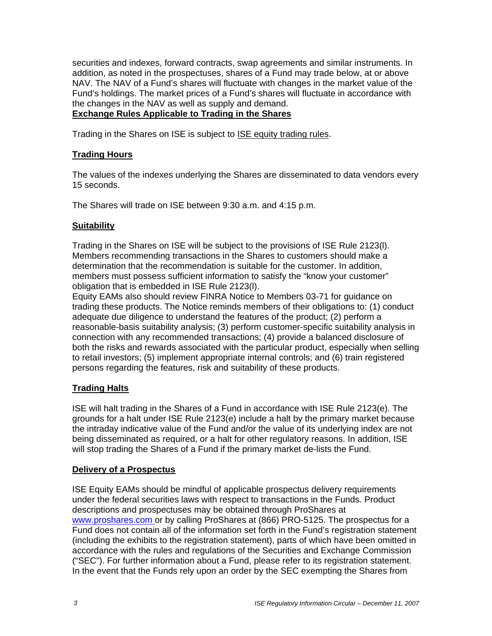securities and indexes, forward contracts, swap agreements and similar instruments. In addition, as noted in the prospectuses, shares of a Fund may trade below, at or above NAV. The NAV of a Fund's shares will fluctuate with changes in the market value of the Fund's holdings. The market prices of a Fund's shares will fluctuate in accordance with the changes in the NAV as well as supply and demand. **Exchange Rules Applicable to Trading in the Shares** 

Trading in the Shares on ISE is subject to ISE equity trading rules.

## **Trading Hours**

The values of the indexes underlying the Shares are disseminated to data vendors every 15 seconds.

The Shares will trade on ISE between 9:30 a.m. and 4:15 p.m.

### **Suitability**

Trading in the Shares on ISE will be subject to the provisions of ISE Rule 2123(l). Members recommending transactions in the Shares to customers should make a determination that the recommendation is suitable for the customer. In addition, members must possess sufficient information to satisfy the "know your customer" obligation that is embedded in ISE Rule 2123(l).

Equity EAMs also should review FINRA Notice to Members 03-71 for guidance on trading these products. The Notice reminds members of their obligations to: (1) conduct adequate due diligence to understand the features of the product; (2) perform a reasonable-basis suitability analysis; (3) perform customer-specific suitability analysis in connection with any recommended transactions; (4) provide a balanced disclosure of both the risks and rewards associated with the particular product, especially when selling to retail investors; (5) implement appropriate internal controls; and (6) train registered persons regarding the features, risk and suitability of these products.

### **Trading Halts**

ISE will halt trading in the Shares of a Fund in accordance with ISE Rule 2123(e). The grounds for a halt under ISE Rule 2123(e) include a halt by the primary market because the intraday indicative value of the Fund and/or the value of its underlying index are not being disseminated as required, or a halt for other regulatory reasons. In addition, ISE will stop trading the Shares of a Fund if the primary market de-lists the Fund.

#### **Delivery of a Prospectus**

ISE Equity EAMs should be mindful of applicable prospectus delivery requirements under the federal securities laws with respect to transactions in the Funds. Product descriptions and prospectuses may be obtained through ProShares at www.proshares.com or by calling ProShares at (866) PRO-5125. The prospectus for a Fund does not contain all of the information set forth in the Fund's registration statement (including the exhibits to the registration statement), parts of which have been omitted in accordance with the rules and regulations of the Securities and Exchange Commission ("SEC"). For further information about a Fund, please refer to its registration statement. In the event that the Funds rely upon an order by the SEC exempting the Shares from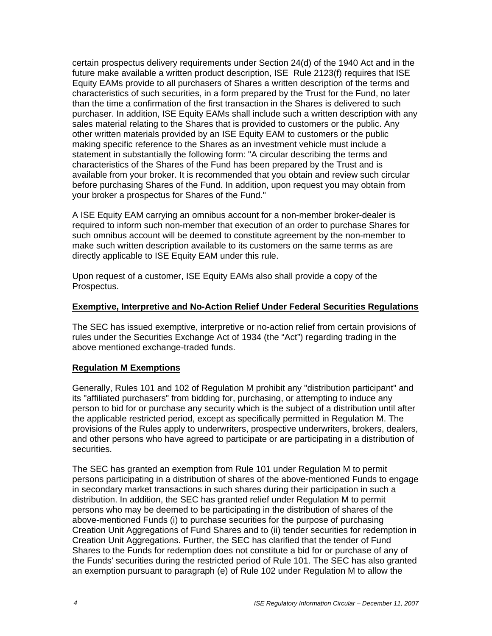certain prospectus delivery requirements under Section 24(d) of the 1940 Act and in the future make available a written product description, ISE Rule 2123(f) requires that ISE Equity EAMs provide to all purchasers of Shares a written description of the terms and characteristics of such securities, in a form prepared by the Trust for the Fund, no later than the time a confirmation of the first transaction in the Shares is delivered to such purchaser. In addition, ISE Equity EAMs shall include such a written description with any sales material relating to the Shares that is provided to customers or the public. Any other written materials provided by an ISE Equity EAM to customers or the public making specific reference to the Shares as an investment vehicle must include a statement in substantially the following form: "A circular describing the terms and characteristics of the Shares of the Fund has been prepared by the Trust and is available from your broker. It is recommended that you obtain and review such circular before purchasing Shares of the Fund. In addition, upon request you may obtain from your broker a prospectus for Shares of the Fund."

A ISE Equity EAM carrying an omnibus account for a non-member broker-dealer is required to inform such non-member that execution of an order to purchase Shares for such omnibus account will be deemed to constitute agreement by the non-member to make such written description available to its customers on the same terms as are directly applicable to ISE Equity EAM under this rule.

Upon request of a customer, ISE Equity EAMs also shall provide a copy of the Prospectus.

## **Exemptive, Interpretive and No-Action Relief Under Federal Securities Regulations**

The SEC has issued exemptive, interpretive or no-action relief from certain provisions of rules under the Securities Exchange Act of 1934 (the "Act") regarding trading in the above mentioned exchange-traded funds.

# **Regulation M Exemptions**

Generally, Rules 101 and 102 of Regulation M prohibit any "distribution participant" and its "affiliated purchasers" from bidding for, purchasing, or attempting to induce any person to bid for or purchase any security which is the subject of a distribution until after the applicable restricted period, except as specifically permitted in Regulation M. The provisions of the Rules apply to underwriters, prospective underwriters, brokers, dealers, and other persons who have agreed to participate or are participating in a distribution of securities.

The SEC has granted an exemption from Rule 101 under Regulation M to permit persons participating in a distribution of shares of the above-mentioned Funds to engage in secondary market transactions in such shares during their participation in such a distribution. In addition, the SEC has granted relief under Regulation M to permit persons who may be deemed to be participating in the distribution of shares of the above-mentioned Funds (i) to purchase securities for the purpose of purchasing Creation Unit Aggregations of Fund Shares and to (ii) tender securities for redemption in Creation Unit Aggregations. Further, the SEC has clarified that the tender of Fund Shares to the Funds for redemption does not constitute a bid for or purchase of any of the Funds' securities during the restricted period of Rule 101. The SEC has also granted an exemption pursuant to paragraph (e) of Rule 102 under Regulation M to allow the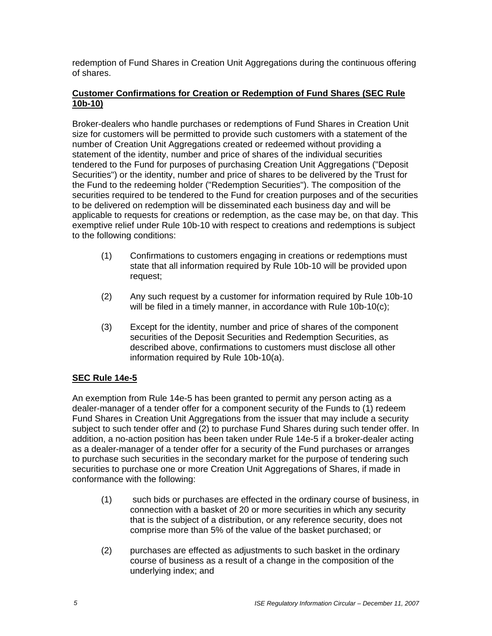redemption of Fund Shares in Creation Unit Aggregations during the continuous offering of shares.

## **Customer Confirmations for Creation or Redemption of Fund Shares (SEC Rule 10b-10)**

Broker-dealers who handle purchases or redemptions of Fund Shares in Creation Unit size for customers will be permitted to provide such customers with a statement of the number of Creation Unit Aggregations created or redeemed without providing a statement of the identity, number and price of shares of the individual securities tendered to the Fund for purposes of purchasing Creation Unit Aggregations ("Deposit Securities") or the identity, number and price of shares to be delivered by the Trust for the Fund to the redeeming holder ("Redemption Securities"). The composition of the securities required to be tendered to the Fund for creation purposes and of the securities to be delivered on redemption will be disseminated each business day and will be applicable to requests for creations or redemption, as the case may be, on that day. This exemptive relief under Rule 10b-10 with respect to creations and redemptions is subject to the following conditions:

- (1) Confirmations to customers engaging in creations or redemptions must state that all information required by Rule 10b-10 will be provided upon request;
- (2) Any such request by a customer for information required by Rule 10b-10 will be filed in a timely manner, in accordance with Rule 10b-10(c);
- (3) Except for the identity, number and price of shares of the component securities of the Deposit Securities and Redemption Securities, as described above, confirmations to customers must disclose all other information required by Rule 10b-10(a).

# **SEC Rule 14e-5**

An exemption from Rule 14e-5 has been granted to permit any person acting as a dealer-manager of a tender offer for a component security of the Funds to (1) redeem Fund Shares in Creation Unit Aggregations from the issuer that may include a security subject to such tender offer and (2) to purchase Fund Shares during such tender offer. In addition, a no-action position has been taken under Rule 14e-5 if a broker-dealer acting as a dealer-manager of a tender offer for a security of the Fund purchases or arranges to purchase such securities in the secondary market for the purpose of tendering such securities to purchase one or more Creation Unit Aggregations of Shares, if made in conformance with the following:

- (1) such bids or purchases are effected in the ordinary course of business, in connection with a basket of 20 or more securities in which any security that is the subject of a distribution, or any reference security, does not comprise more than 5% of the value of the basket purchased; or
- (2) purchases are effected as adjustments to such basket in the ordinary course of business as a result of a change in the composition of the underlying index; and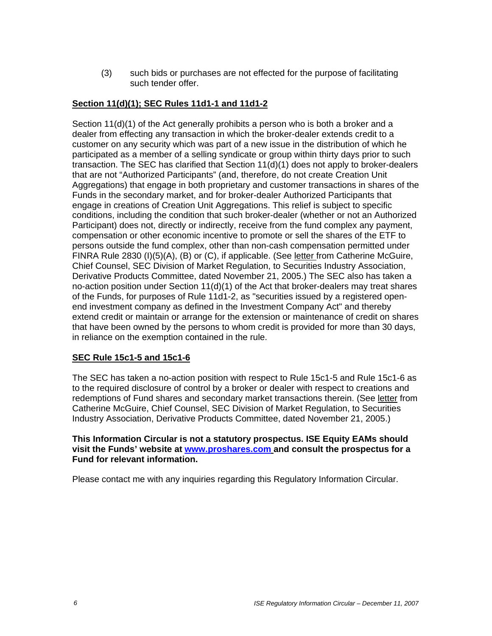(3) such bids or purchases are not effected for the purpose of facilitating such tender offer.

## **Section 11(d)(1); SEC Rules 11d1-1 and 11d1-2**

Section 11(d)(1) of the Act generally prohibits a person who is both a broker and a dealer from effecting any transaction in which the broker-dealer extends credit to a customer on any security which was part of a new issue in the distribution of which he participated as a member of a selling syndicate or group within thirty days prior to such transaction. The SEC has clarified that Section 11(d)(1) does not apply to broker-dealers that are not "Authorized Participants" (and, therefore, do not create Creation Unit Aggregations) that engage in both proprietary and customer transactions in shares of the Funds in the secondary market, and for broker-dealer Authorized Participants that engage in creations of Creation Unit Aggregations. This relief is subject to specific conditions, including the condition that such broker-dealer (whether or not an Authorized Participant) does not, directly or indirectly, receive from the fund complex any payment, compensation or other economic incentive to promote or sell the shares of the ETF to persons outside the fund complex, other than non-cash compensation permitted under FINRA Rule 2830 (I)(5)(A), (B) or (C), if applicable. (See letter from Catherine McGuire, Chief Counsel, SEC Division of Market Regulation, to Securities Industry Association, Derivative Products Committee, dated November 21, 2005.) The SEC also has taken a no-action position under Section 11(d)(1) of the Act that broker-dealers may treat shares of the Funds, for purposes of Rule 11d1-2, as "securities issued by a registered openend investment company as defined in the Investment Company Act" and thereby extend credit or maintain or arrange for the extension or maintenance of credit on shares that have been owned by the persons to whom credit is provided for more than 30 days, in reliance on the exemption contained in the rule.

### **SEC Rule 15c1-5 and 15c1-6**

The SEC has taken a no-action position with respect to Rule 15c1-5 and Rule 15c1-6 as to the required disclosure of control by a broker or dealer with respect to creations and redemptions of Fund shares and secondary market transactions therein. (See letter from Catherine McGuire, Chief Counsel, SEC Division of Market Regulation, to Securities Industry Association, Derivative Products Committee, dated November 21, 2005.)

#### **This Information Circular is not a statutory prospectus. ISE Equity EAMs should visit the Funds' website at www.proshares.com and consult the prospectus for a Fund for relevant information.**

Please contact me with any inquiries regarding this Regulatory Information Circular.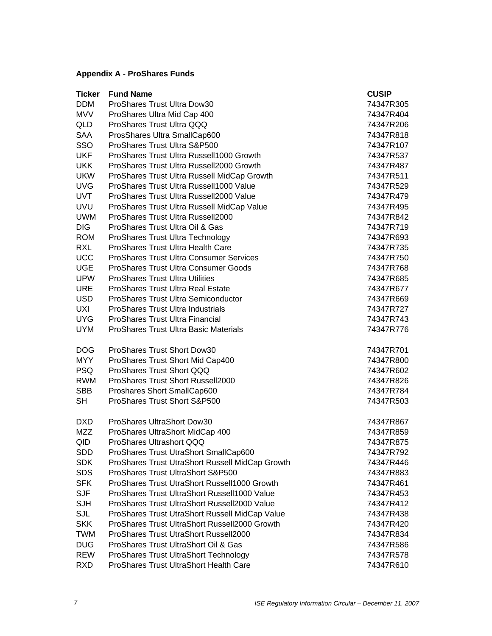# **Appendix A - ProShares Funds**

| <b>Ticker</b> | <b>Fund Name</b>                                | <b>CUSIP</b> |
|---------------|-------------------------------------------------|--------------|
| <b>DDM</b>    | ProShares Trust Ultra Dow30                     | 74347R305    |
| <b>MVV</b>    | ProShares Ultra Mid Cap 400                     | 74347R404    |
| QLD           | ProShares Trust Ultra QQQ                       | 74347R206    |
| <b>SAA</b>    | ProsShares Ultra SmallCap600                    | 74347R818    |
| SSO           | ProShares Trust Ultra S&P500                    | 74347R107    |
| <b>UKF</b>    | ProShares Trust Ultra Russell1000 Growth        | 74347R537    |
| <b>UKK</b>    | ProShares Trust Ultra Russell2000 Growth        | 74347R487    |
| <b>UKW</b>    | ProShares Trust Ultra Russell MidCap Growth     | 74347R511    |
| <b>UVG</b>    | ProShares Trust Ultra Russell1000 Value         | 74347R529    |
| <b>UVT</b>    | ProShares Trust Ultra Russell2000 Value         | 74347R479    |
| <b>UVU</b>    | ProShares Trust Ultra Russell MidCap Value      | 74347R495    |
| <b>UWM</b>    | <b>ProShares Trust Ultra Russell2000</b>        | 74347R842    |
| <b>DIG</b>    | ProShares Trust Ultra Oil & Gas                 | 74347R719    |
| <b>ROM</b>    | ProShares Trust Ultra Technology                | 74347R693    |
| <b>RXL</b>    | <b>ProShares Trust Ultra Health Care</b>        | 74347R735    |
| <b>UCC</b>    | <b>ProShares Trust Ultra Consumer Services</b>  | 74347R750    |
| <b>UGE</b>    | ProShares Trust Ultra Consumer Goods            | 74347R768    |
| <b>UPW</b>    | <b>ProShares Trust Ultra Utilities</b>          | 74347R685    |
| <b>URE</b>    | <b>ProShares Trust Ultra Real Estate</b>        | 74347R677    |
| <b>USD</b>    | <b>ProShares Trust Ultra Semiconductor</b>      | 74347R669    |
| UXI           | <b>ProShares Trust Ultra Industrials</b>        | 74347R727    |
| UYG           | <b>ProShares Trust Ultra Financial</b>          | 74347R743    |
| <b>UYM</b>    | <b>ProShares Trust Ultra Basic Materials</b>    | 74347R776    |
| <b>DOG</b>    | ProShares Trust Short Dow30                     | 74347R701    |
| <b>MYY</b>    | ProShares Trust Short Mid Cap400                | 74347R800    |
| <b>PSQ</b>    | ProShares Trust Short QQQ                       | 74347R602    |
| <b>RWM</b>    | ProShares Trust Short Russell2000               | 74347R826    |
| <b>SBB</b>    | Proshares Short SmallCap600                     | 74347R784    |
| <b>SH</b>     | ProShares Trust Short S&P500                    | 74347R503    |
| DXD           | <b>ProShares UltraShort Dow30</b>               | 74347R867    |
| MZZ           | ProShares UltraShort MidCap 400                 | 74347R859    |
| QID           | ProShares Ultrashort QQQ                        | 74347R875    |
| <b>SDD</b>    | ProShares Trust UtraShort SmallCap600           | 74347R792    |
| <b>SDK</b>    | ProShares Trust UtraShort Russell MidCap Growth | 74347R446    |
| <b>SDS</b>    | ProShares Trust UltraShort S&P500               | 74347R883    |
| <b>SFK</b>    | ProShares Trust UtraShort Russell1000 Growth    | 74347R461    |
| <b>SJF</b>    | ProShares Trust UltraShort Russell1000 Value    | 74347R453    |
| SJH           | ProShares Trust UltraShort Russell2000 Value    | 74347R412    |
| SJL           | ProShares Trust UtraShort Russell MidCap Value  | 74347R438    |
| <b>SKK</b>    | ProShares Trust UltraShort Russell2000 Growth   | 74347R420    |
| <b>TWM</b>    | ProShares Trust UtraShort Russell2000           | 74347R834    |
| <b>DUG</b>    | ProShares Trust UltraShort Oil & Gas            | 74347R586    |
| <b>REW</b>    | ProShares Trust UltraShort Technology           | 74347R578    |
| <b>RXD</b>    | ProShares Trust UltraShort Health Care          | 74347R610    |